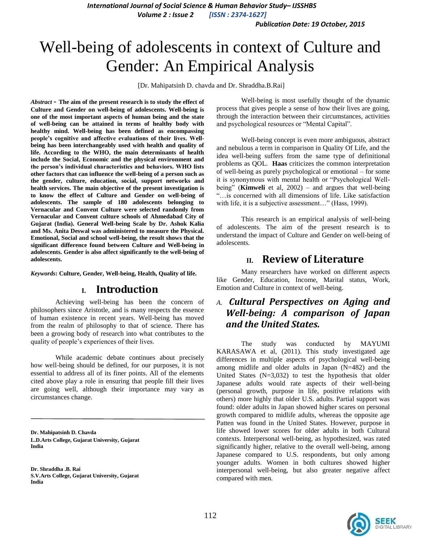*International Journal of Social Science & Human Behavior Study– IJSSHBS*

*Volume 2 : Issue 2 [ISSN : 2374-1627]*

*Publication Date: 19 October, 2015*

# Well-being of adolescents in context of Culture and Gender: An Empirical Analysis

[Dr. Mahipatsinh D. chavda and Dr. Shraddha.B.Rai]

*Abstract -* **The aim of the present research is to study the effect of Culture and Gender on well-being of adolescents. Well-being is one of the most important aspects of human being and the state of well-being can be attained in terms of healthy body with healthy mind. Well-being has been defined as encompassing people's cognitive and affective evaluations of their lives. Wellbeing has been interchangeably used with health and quality of life. According to the WHO, the main determinants of health include the Social, Economic and the physical environment and the person's individual characteristics and behaviors. WHO lists other factors that can influence the well-being of a person such as the gender, culture, education, social, support networks and health services. The main objective of the present investigation is to know the effect of Culture and Gender on well-being of adolescents. The sample of 180 adolescents belonging to Vernacular and Convent Culture were selected randomly from Vernacular and Convent culture schools of Ahmedabad City of Gujarat (India). General Well-being Scale by Dr. Ashok Kalia and Ms. Anita Deswal was administered to measure the Physical. Emotional, Social and school well-being, the result shows that the significant difference found between Culture and Well-being in adolescents. Gender is also affect significantly to the well-being of adolescents.**

*Keywords***: Culture, Gender, Well-being, Health, Quality of life.**

#### **I. Introduction**

Achieving well-being has been the concern of philosophers since Aristotle, and is many respects the essence of human existence in recent years. Well-being has moved from the realm of philosophy to that of science. There has been a growing body of research into what contributes to the quality of people"s experiences of their lives.

While academic debate continues about precisely how well-being should be defined, for our purposes, it is not essential to address all of its finer points. All of the elements cited above play a role in ensuring that people fill their lives are going well, although their importance may vary as circumstances change.

**Dr. Mahipatsinh D. Chavda L.D.Arts College, Gujarat University, Gujarat India**

**Dr. Shraddha .B. Rai S.V.Arts College, Gujarat University, Gujarat India**

Well-being is most usefully thought of the dynamic process that gives people a sense of how their lives are going, through the interaction between their circumstances, activities and psychological resources or "Mental Capital".

Well-being concept is even more ambiguous, abstract and nebulous a term in comparison in Quality Of Life, and the idea well-being suffers from the same type of definitional problems as QOL. **Haas** criticizes the common interpretation of well-being as purely psychological or emotional – for some it is synonymous with mental health or "Psychological Wellbeing" (**Kimweli** et al, 2002) – and argues that well-being "…is concerned with all dimensions of life. Like satisfaction with life, it is a subjective assessment..." (Hass, 1999).

This research is an empirical analysis of well-being of adolescents. The aim of the present research is to understand the impact of Culture and Gender on well-being of adolescents.

#### **II. Review of Literature**

Many researchers have worked on different aspects like Gender, Education, Income, Marital status, Work, Emotion and Culture in context of well-being.

#### *A. Cultural Perspectives on Aging and Well-being: A comparison of Japan and the United States.*

The study was conducted by MAYUMI KARASAWA et al, (2011). This study investigated age differences in multiple aspects of psychological well-being among midlife and older adults in Japan (N=482) and the United States  $(N=3,032)$  to test the hypothesis that older Japanese adults would rate aspects of their well-being (personal growth, purpose in life, positive relations with others) more highly that older U.S. adults. Partial support was found: older adults in Japan showed higher scares on personal growth compared to midlife adults, whereas the opposite age Patten was found in the United States. However, purpose in life showed lower scores for older adults in both Cultural contexts. Interpersonal well-being, as hypothesized, was rated significantly higher, relative to the overall well-being, among Japanese compared to U.S. respondents, but only among younger adults. Women in both cultures showed higher interpersonal well-being, but also greater negative affect compared with men.

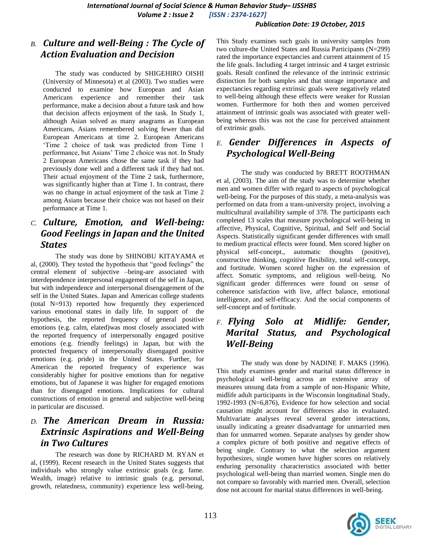#### *Publication Date: 19 October, 2015*

#### *B. Culture and well-Being : The Cycle of Action Evaluation and Decision*

The study was conducted by SHIGEHIRO OISHI (University of Minnesota) et al (2003). Two studies were conducted to examine how European and Asian Americans experience and remember their task performance, make a decision about a future task and how that decision affects enjoyment of the task. In Study 1, although Asian solved as many anagrams as European Americans, Asians remembered solving fewer than did European Americans at time 2. European Americans "Time 2 choice of task was predicted from Time 1 performance, but Asians' Time 2 choice was not. In Study 2 European Americans chose the same task if they had previously done well and a different task if they had not. Their actual enjoyment of the Time 2 task, furthermore, was significantly higher than at Time 1. In contrast, there was no change in actual enjoyment of the task at Time 2 among Asians because their choice was not based on their performance at Time 1.

### *C. Culture, Emotion, and Well-being: Good Feelings in Japan and the United States*

The study was done by SHINOBU KITAYAMA et al, (2000). They tested the hypothesis that "good feelings" the central element of subjective –being-are associated with interdependence interpersonal engagement of the self in Japan, but with independence and interpersonal disengagement of the self in the United States. Japan and American college students (total N=913) reported how frequently they experienced various emotional states in daily life. In support of the hypothesis, the reported frequency of general positive emotions (e.g. calm, elated)was most closely associated with the reported frequency of interpersonally engaged positive emotions (e.g. friendly feelings) in Japan, but with the protected frequency of interpersonally disengaged positive emotions (e.g. pride) in the United States. Further, for American the reported frequency of experience was considerably higher for positive emotions than for negative emotions, but of Japanese it was higher for engaged emotions than for disengaged emotions. Implications for cultural constructions of emotion in general and subjective well-being in particular are discussed.

### *D. The American Dream in Russia: Extrinsic Aspirations and Well-Being in Two Cultures*

The research was done by RICHARD M. RYAN et al, (1999). Recent research in the United States suggests that individuals who strongly value extrinsic goals (e.g. fame. Wealth, image) relative to intrinsic goals (e.g. personal, growth, relatedness, community) experience less well-being.

This Study examines such goals in university samples from two culture-the United States and Russia Participants (N=299) rated the importance expectancies and current attainment of 15 the life goals. Including 4 target intrinsic and 4 target extrinsic goals. Result confined the relevance of the intrinsic extrinsic distinction for both samples and that storage importance and expectancies regarding extrinsic goals were negatively related to well-being although these effects were weaker for Russian women. Furthermore for both then and women perceived attainment of intrinsic goals was associated with greater wellbeing whereas this was not the case for perceived attainment of extrinsic goals.

### *E. Gender Differences in Aspects of Psychological Well-Being*

The study was conducted by BRETT ROOTHMAN et al, (2003). The aim of the study was to determine whether men and women differ with regard to aspects of psychological well-being. For the purposes of this study, a meta-analysis was performed on data from a trans-university project, involving a multicultural availability sample of 378. The participants each completed 13 scales that measure psychological well-being in affective, Physical, Cognitive, Spiritual, and Self and Social Aspects. Statistically significant gender differences with small to medium practical effects were found. Men scored higher on physical self-concept., automatic thoughts (positive), constructive thinking, cognitive flexibility, total self-concept, and fortitude. Women scored higher on the expression of affect. Somatic symptoms, and religious well-being. No significant gender differences were found on sense of coherence satisfaction with live, affect balance, emotional intelligence, and self-efficacy. And the social components of self-concept and of fortitude.

### *F. Flying Solo at Midlife: Gender, Marital Status, and Psychological Well-Being*

The study was done by NADINE F. MAKS (1996). This study examines gender and marital status difference in psychological well-being across an extensive array of measures unsung data from a sample of non-Hispanic White, midlife adult participants in the Wisconsin longitudinal Study, 1992-1993 (N=6,876), Evidence for how selection and social causation might account for differences also in evaluated. Multivariate analyses reveal several gender interactions, usually indicating a greater disadvantage for unmarried men than for unmarred women. Separate analyses by gender show a complex picture of both positive and negative effects of being single. Contrary to what the selection argument hypothesizes, single women have higher scores on relatively enduring personality characteristics associated with better psychological well-being than married women. Single men do not compare so favorably with married men. Overall, selection dose not account for marital status differences in well-being.

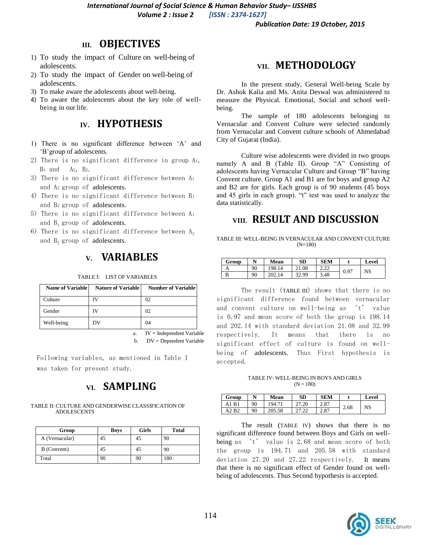*International Journal of Social Science & Human Behavior Study– IJSSHBS*

*Volume 2 : Issue 2 [ISSN : 2374-1627]*

*Publication Date: 19 October, 2015*

### **III. OBJECTIVES**

- 1) To study the impact of Culture on well-being of adolescents.
- 2) To study the impact of Gender on well-being of adolescents.
- 3) To make aware the adolescents about well-being.
- 4) To aware the adolescents about the key role of wellbeing in our life.

### **IV. HYPOTHESIS**

- 1) There is no significant difference between "A" and 'B' group of adolescents.
- 2) There is no significant difference in group A1, B<sup>1</sup> and A2, B2.
- 3) There is no significant difference between A<sup>1</sup> and A2 group of adolescents.
- 4) There is no significant difference between B<sup>1</sup> and B2 group of adolescents.
- 5) There is no significant difference between A<sup>1</sup> and  $B_1$  group of adolescents.
- 6) There is no significant difference between  $A_2$ and  $B_2$  group of adolescents.

#### **V. VARIABLES**

| <b>Name of Variable</b> | <b>Nature of Variable</b> | <b>Number of Variable</b> |
|-------------------------|---------------------------|---------------------------|
| Culture                 | ſV                        | 02                        |
| Gender                  | īV                        | 02                        |
| Well-being              | DV                        | 04                        |

TABLE I: LIST OF VARIABLES

a. IV = Independent Variable b. DV = Dependent Variable

Following variables, as mentioned in Table I was taken for present study.

# **VI. SAMPLING**

#### TABLE II: CULTURE AND GENDERWISE CLASSIFICATION OF ADOLESCENTS

| Group          | Boys | Girls | <b>Total</b> |
|----------------|------|-------|--------------|
| A (Vernacular) | 45   | 45    | 90           |
| B (Convent)    | 45   | 45    | 90           |
| Total          | 90   | 90    | 180          |

## **VII. METHODOLOGY**

In the present study, General Well-being Scale by Dr. Ashok Kalia and Ms. Anita Deswal was administered to measure the Physical. Emotional, Social and school wellbeing.

The sample of 180 adolescents belonging to Vernacular and Convent Culture were selected randomly from Vernacular and Convent culture schools of Ahmedabad City of Gujarat (India).

Culture wise adolescents were divided in two groups namely A and B (Table II). Group "A" Consisting of adolescents having Vernacular Culture and Group "B" having Convent culture. Group A1 and B1 are for boys and group A2 and B2 are for girls. Each group is of 90 students (45 boys and 45 girls in each group). "t" test was used to analyze the data statistically.

### **VIII. RESULT AND DISCUSSION**

TABLE III: WELL-BEING IN VERNACULAR AND CONVENT CULTURE (N=180)

| Group | N  | Mean      | SD       | <b>SEM</b>               |      | Level |
|-------|----|-----------|----------|--------------------------|------|-------|
|       | 90 | 98.<br>14 | 21.08    | $\cap$<br><u>_ _ _ _</u> | 0.97 | NS    |
|       | 90 | 14        | 00<br>າາ | 3.48                     |      |       |

The result (TABLE III) shows that there is no significant difference found between vernacular and convent culture on well-being as 't' value is 0.97 and mean score of both the group is 198.14 and 202.14 with standard deviation 21.08 and 32.99 respectively. It means that there is no significant effect of culture is found on wellbeing of adolescents. Thus First hypothesis is accepted.

TABLE IV: WELL-BEING IN BOYS AND GIRLS  $(N = 180)$ 

| Group | N  | Mean   | SD | SEM  |      | Level |
|-------|----|--------|----|------|------|-------|
| R     | 90 | 194.71 | 20 | 2.87 | 2.68 | NS    |
| ∕ R^  | 90 |        | .  | 2.87 |      |       |

The result (TABLE IV) shows that there is no significant difference found between Boys and Girls on wellbeing as 't' value is 2.68 and mean score of both the group is 194.71 and 205.58 with standard deviation 27.20 and 27.22 respectively. It means that there is no significant effect of Gender found on wellbeing of adolescents. Thus Second hypothesis is accepted.

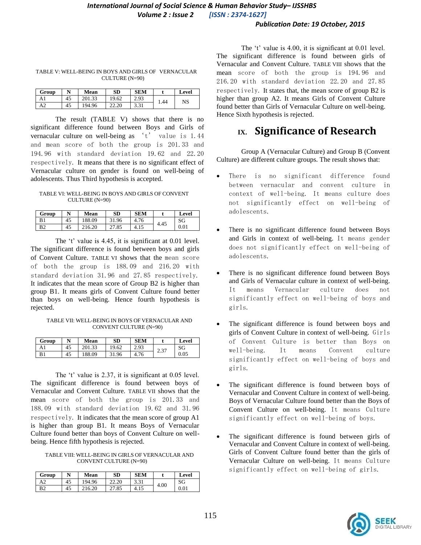#### *International Journal of Social Science & Human Behavior Study– IJSSHBS Volume 2 : Issue 2 [ISSN : 2374-1627]*

#### *Publication Date: 19 October, 2015*

| Group |    | Mean   | <b>SD</b> | SEM  |      | Level |
|-------|----|--------|-----------|------|------|-------|
| Al    | 45 | 201.33 | 9.62      | 2.93 | 1.44 | NS    |
| A2    | 45 | 194.96 | 22.20     | 3.31 |      |       |

TABLE V: WELL-BEING IN BOYS AND GIRLS OF VERNACULAR CULTURE (N=90)

The result (TABLE V) shows that there is no significant difference found between Boys and Girls of vernacular culture on well-being as 't' value is 1.44 and mean score of both the group is 201.33 and 194.96 with standard deviation 19.62 and 22.20

respectively. It means that there is no significant effect of Vernacular culture on gender is found on well-being of adolescents. Thus Third hypothesis is accepted.

TABLE VI: WELL-BEING IN BOYS AND GIRLS OF CONVENT CULTURE (N=90)

| Group          |    | Mean   | <b>SD</b> | <b>SEM</b> |      | Level |
|----------------|----|--------|-----------|------------|------|-------|
| B1             | 45 | 188.09 | 31.96     | 4.76       | 4.45 | SG    |
| B <sub>2</sub> | 45 | 216.20 | 27.85     | 4.15       |      | 0.01  |

The 't' value is 4.45, it is significant at 0.01 level. The significant difference is found between boys and girls of Convent Culture. TABLE VI shows that the mean score of both the group is 188.09 and 216.20 with standard deviation 31.96 and 27.85 respectively. It indicates that the mean score of Group B2 is higher than group B1. It means girls of Convent Culture found better than boys on well-being. Hence fourth hypothesis is rejected.

TABLE VII: WELL-BEING IN BOYS OF VERNACULAR AND CONVENT CULTURE (N=90)

| Group | N  | Mean   | <b>SD</b> | <b>SEM</b> |           | Level |
|-------|----|--------|-----------|------------|-----------|-------|
|       | 45 | າດ 1   | 19.62     | 2.93       | 37<br>ا ت | SG    |
| B.    | 45 | 188.09 | 31.96     | 4.76       |           | 0.05  |

The 't' value is 2.37, it is significant at 0.05 level. The significant difference is found between boys of Vernacular and Convent Culture. TABLE VII shows that the mean score of both the group is 201.33 and 188.09 with standard deviation 19.62 and 31.96 respectively. It indicates that the mean score of group A1 is higher than group B1. It means Boys of Vernacular Culture found better than boys of Convent Culture on wellbeing. Hence fifth hypothesis is rejected.

TABLE VIII: WELL-BEING IN GIRLS OF VERNACULAR AND CONVENT CULTURE (N=90)

| Group          | N  | Mean          | SD    | <b>SEM</b>            |      | Level     |
|----------------|----|---------------|-------|-----------------------|------|-----------|
|                | 45 | 94.96         | 22.20 | $2^{\circ}$<br>، د. د | 4.00 | SG        |
| B <sub>2</sub> | 45 | 216.20<br>216 | ده.   | +.                    |      | $_{0.01}$ |

The  $'t'$  value is 4.00, it is significant at 0.01 level. The significant difference is found between girls of Vernacular and Convent Culture. TABLE VIII shows that the mean score of both the group is 194.96 and 216.20 with standard deviation 22.20 and 27.85 respectively. It states that, the mean score of group B2 is higher than group A2. It means Girls of Convent Culture found better than Girls of Vernacular Culture on well-being. Hence Sixth hypothesis is rejected.

# **IX. Significance of Research**

Group A (Vernacular Culture) and Group B (Convent Culture) are different culture groups. The result shows that:

- There is no significant difference found between vernacular and convent culture in context of well-being. It means culture does not significantly effect on well-being of adolescents.
- There is no significant difference found between Boys and Girls in context of well-being. It means gender does not significantly effect on well-being of adolescents.
- There is no significant difference found between Boys and Girls of Vernacular culture in context of well-being. It means Vernacular culture does not significantly effect on well-being of boys and girls.
- The significant difference is found between boys and girls of Convent Culture in context of well-being. Girls of Convent Culture is better than Boys on well-being. It means Convent culture significantly effect on well-being of boys and girls.
- The significant difference is found between boys of Vernacular and Convent Culture in context of well-being. Boys of Vernacular Culture found better than the Boys of Convent Culture on well-being. It means Culture significantly effect on well-being of boys.
- The significant difference is found between girls of Vernacular and Convent Culture in context of well-being. Girls of Convent Culture found better than the girls of Vernacular Culture on well-being. It means Culture significantly effect on well-being of girls.